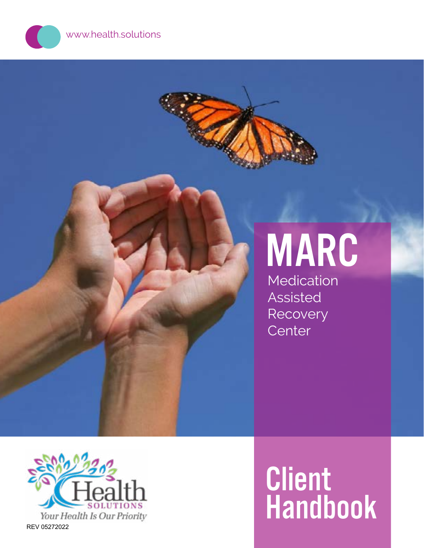www.health.solutions

# MARC

Medication Assisted Recovery **Center** 



# Client Handbook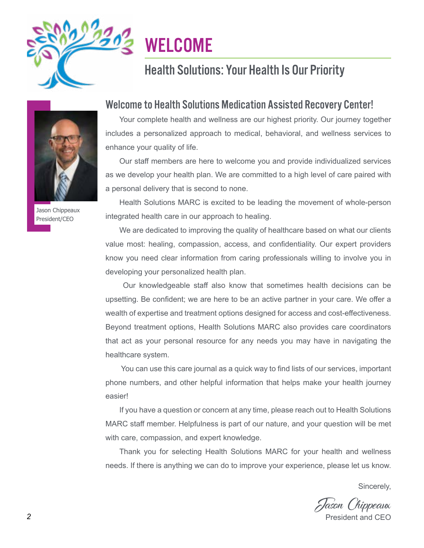<span id="page-1-0"></span>

# **WELCOME**

# Health Solutions: Your Health Is Our Priority



Jason Chippeaux President/CEO

#### Welcome to Health Solutions Medication Assisted Recovery Center!

Your complete health and wellness are our highest priority. Our journey together includes a personalized approach to medical, behavioral, and wellness services to enhance your quality of life.

Our staff members are here to welcome you and provide individualized services as we develop your health plan. We are committed to a high level of care paired with a personal delivery that is second to none.

Health Solutions MARC is excited to be leading the movement of whole-person integrated health care in our approach to healing.

We are dedicated to improving the quality of healthcare based on what our clients value most: healing, compassion, access, and confidentiality. Our expert providers know you need clear information from caring professionals willing to involve you in developing your personalized health plan.

 Our knowledgeable staff also know that sometimes health decisions can be upsetting. Be confident; we are here to be an active partner in your care. We offer a wealth of expertise and treatment options designed for access and cost-effectiveness. Beyond treatment options, Health Solutions MARC also provides care coordinators that act as your personal resource for any needs you may have in navigating the healthcare system.

 You can use this care journal as a quick way to find lists of our services, important phone numbers, and other helpful information that helps make your health journey easier!

If you have a question or concern at any time, please reach out to Health Solutions MARC staff member. Helpfulness is part of our nature, and your question will be met with care, compassion, and expert knowledge.

Thank you for selecting Health Solutions MARC for your health and wellness needs. If there is anything we can do to improve your experience, please let us know.

Sincerely,

ason ('hippeaux President and CFO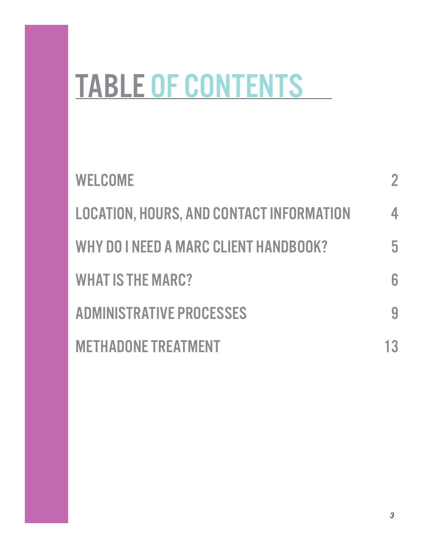# TABLE OF CONTENTS

| <b>WELCOME</b>                                  | 2  |
|-------------------------------------------------|----|
| <b>LOCATION, HOURS, AND CONTACT INFORMATION</b> | 4  |
| WHY DO I NEED A MARC CLIENT HANDBOOK?           | 5  |
| <b>WHAT IS THE MARC?</b>                        | 6  |
| <b>ADMINISTRATIVE PROCESSES</b>                 |    |
| <b>METHADONE TREATMENT</b>                      | 13 |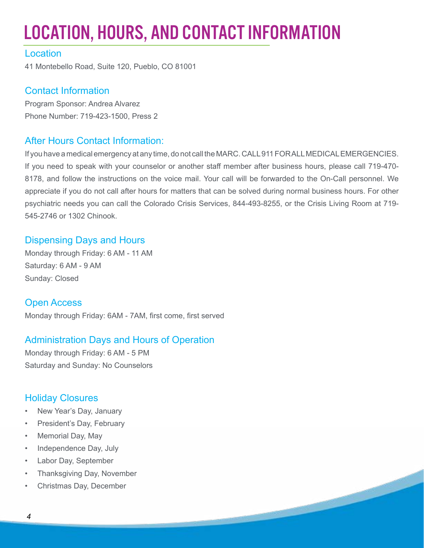# <span id="page-3-0"></span>LOCATION, HOURS, AND CONTACT INFORMATION

#### **Location**

41 Montebello Road, Suite 120, Pueblo, CO 81001

#### Contact Information

Program Sponsor: Andrea Alvarez Phone Number: 719-423-1500, Press 2

#### After Hours Contact Information:

If you have a medical emergency at any time, do not call the MARC. CALL 911 FOR ALL MEDICAL EMERGENCIES. If you need to speak with your counselor or another staff member after business hours, please call 719-470- 8178, and follow the instructions on the voice mail. Your call will be forwarded to the On-Call personnel. We appreciate if you do not call after hours for matters that can be solved during normal business hours. For other psychiatric needs you can call the Colorado Crisis Services, 844-493-8255, or the Crisis Living Room at 719- 545-2746 or 1302 Chinook.

#### Dispensing Days and Hours

Monday through Friday: 6 AM - 11 AM Saturday: 6 AM - 9 AM Sunday: Closed

Open Access Monday through Friday: 6AM - 7AM, first come, first served

#### Administration Days and Hours of Operation

Monday through Friday: 6 AM - 5 PM Saturday and Sunday: No Counselors

#### Holiday Closures

- New Year's Day, January
- President's Day, February
- Memorial Day, May
- Independence Day, July
- Labor Day, September
- Thanksgiving Day, November
- Christmas Day, December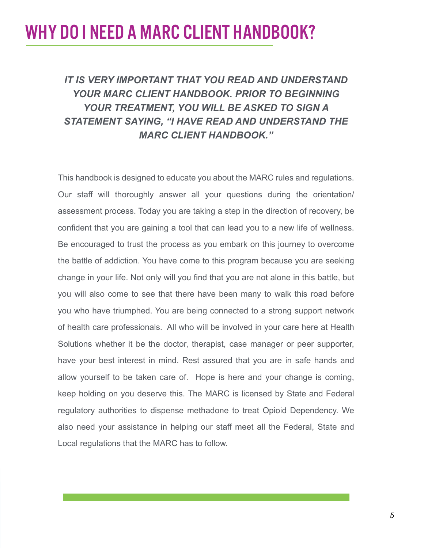# <span id="page-4-0"></span>WHY DO I NEED A MARC CLIENT HANDBOOK?

#### *IT IS VERY IMPORTANT THAT YOU READ AND UNDERSTAND YOUR MARC CLIENT HANDBOOK. PRIOR TO BEGINNING YOUR TREATMENT, YOU WILL BE ASKED TO SIGN A STATEMENT SAYING, "I HAVE READ AND UNDERSTAND THE MARC CLIENT HANDBOOK."*

This handbook is designed to educate you about the MARC rules and regulations. Our staff will thoroughly answer all your questions during the orientation/ assessment process. Today you are taking a step in the direction of recovery, be confident that you are gaining a tool that can lead you to a new life of wellness. Be encouraged to trust the process as you embark on this journey to overcome the battle of addiction. You have come to this program because you are seeking change in your life. Not only will you find that you are not alone in this battle, but you will also come to see that there have been many to walk this road before you who have triumphed. You are being connected to a strong support network of health care professionals. All who will be involved in your care here at Health Solutions whether it be the doctor, therapist, case manager or peer supporter, have your best interest in mind. Rest assured that you are in safe hands and allow yourself to be taken care of. Hope is here and your change is coming, keep holding on you deserve this. The MARC is licensed by State and Federal regulatory authorities to dispense methadone to treat Opioid Dependency. We also need your assistance in helping our staff meet all the Federal, State and Local regulations that the MARC has to follow.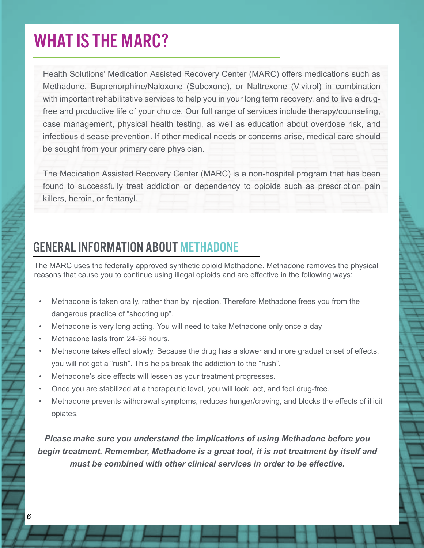# <span id="page-5-0"></span>WHAT IS THE MARC?

Health Solutions' Medication Assisted Recovery Center (MARC) offers medications such as Methadone, Buprenorphine/Naloxone (Suboxone), or Naltrexone (Vivitrol) in combination with important rehabilitative services to help you in your long term recovery, and to live a drugfree and productive life of your choice. Our full range of services include therapy/counseling, case management, physical health testing, as well as education about overdose risk, and infectious disease prevention. If other medical needs or concerns arise, medical care should be sought from your primary care physician.

The Medication Assisted Recovery Center (MARC) is a non-hospital program that has been found to successfully treat addiction or dependency to opioids such as prescription pain killers, heroin, or fentanyl.

#### GENERAL INFORMATION ABOUT METHADONE

The MARC uses the federally approved synthetic opioid Methadone. Methadone removes the physical reasons that cause you to continue using illegal opioids and are effective in the following ways:

- Methadone is taken orally, rather than by injection. Therefore Methadone frees you from the dangerous practice of "shooting up".
- Methadone is very long acting. You will need to take Methadone only once a day
- Methadone lasts from 24-36 hours.
- Methadone takes effect slowly. Because the drug has a slower and more gradual onset of effects, you will not get a "rush". This helps break the addiction to the "rush".
- Methadone's side effects will lessen as your treatment progresses.
- Once you are stabilized at a therapeutic level, you will look, act, and feel drug-free.
- Methadone prevents withdrawal symptoms, reduces hunger/craving, and blocks the effects of illicit opiates.

*Please make sure you understand the implications of using Methadone before you begin treatment. Remember, Methadone is a great tool, it is not treatment by itself and must be combined with other clinical services in order to be effective.*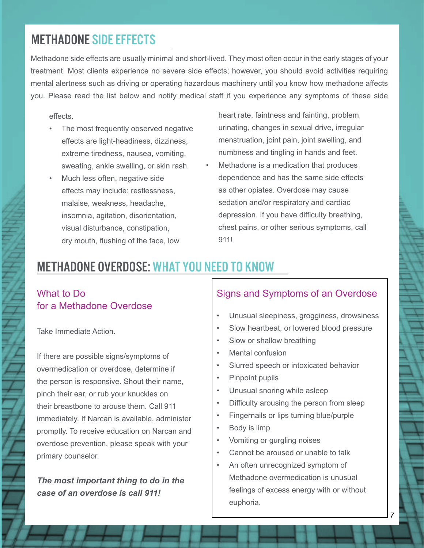#### METHADONE SIDE EFFECTS

Methadone side effects are usually minimal and short-lived. They most often occur in the early stages of your treatment. Most clients experience no severe side effects; however, you should avoid activities requiring mental alertness such as driving or operating hazardous machinery until you know how methadone affects you. Please read the list below and notify medical staff if you experience any symptoms of these side

effects.

- The most frequently observed negative effects are light-headiness, dizziness, extreme tiredness, nausea, vomiting, sweating, ankle swelling, or skin rash.
- Much less often, negative side effects may include: restlessness, malaise, weakness, headache, insomnia, agitation, disorientation, visual disturbance, constipation, dry mouth, flushing of the face, low
- heart rate, faintness and fainting, problem urinating, changes in sexual drive, irregular menstruation, joint pain, joint swelling, and numbness and tingling in hands and feet.
- Methadone is a medication that produces dependence and has the same side effects as other opiates. Overdose may cause sedation and/or respiratory and cardiac depression. If you have difficulty breathing, chest pains, or other serious symptoms, call 911!

#### METHADONE OVERDOSE: WHAT YOU NEED TO KNOW

#### What to Do for a Methadone Overdose

Take Immediate Action.

If there are possible signs/symptoms of overmedication or overdose, determine if the person is responsive. Shout their name, pinch their ear, or rub your knuckles on their breastbone to arouse them. Call 911 immediately. If Narcan is available, administer promptly. To receive education on Narcan and overdose prevention, please speak with your primary counselor.

*The most important thing to do in the case of an overdose is call 911!*

#### Signs and Symptoms of an Overdose

- Unusual sleepiness, grogginess, drowsiness
- Slow heartbeat, or lowered blood pressure
- Slow or shallow breathing
- Mental confusion
- Slurred speech or intoxicated behavior
- Pinpoint pupils
- Unusual snoring while asleep
- Difficulty arousing the person from sleep
- Fingernails or lips turning blue/purple
- Body is limp
- Vomiting or gurgling noises
- Cannot be aroused or unable to talk
- An often unrecognized symptom of Methadone overmedication is unusual feelings of excess energy with or without euphoria.

*7*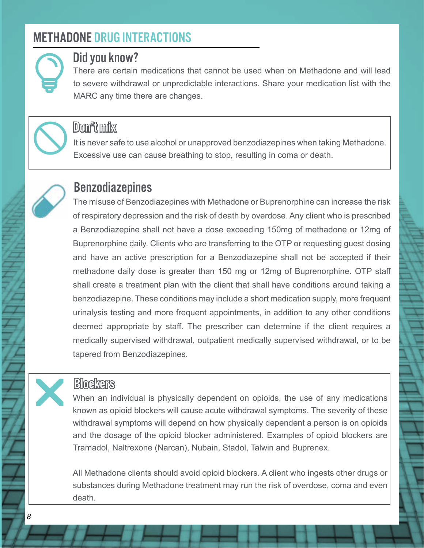#### METHADONE DRUG INTERACTIONS



#### Did you know?

There are certain medications that cannot be used when on Methadone and will lead to severe withdrawal or unpredictable interactions. Share your medication list with the MARC any time there are changes.



#### Don't mix

It is never safe to use alcohol or unapproved benzodiazepines when taking Methadone. Excessive use can cause breathing to stop, resulting in coma or death.



r

#### Benzodiazepines

The misuse of Benzodiazepines with Methadone or Buprenorphine can increase the risk of respiratory depression and the risk of death by overdose. Any client who is prescribed a Benzodiazepine shall not have a dose exceeding 150mg of methadone or 12mg of Buprenorphine daily. Clients who are transferring to the OTP or requesting guest dosing and have an active prescription for a Benzodiazepine shall not be accepted if their methadone daily dose is greater than 150 mg or 12mg of Buprenorphine. OTP staff shall create a treatment plan with the client that shall have conditions around taking a benzodiazepine. These conditions may include a short medication supply, more frequent urinalysis testing and more frequent appointments, in addition to any other conditions deemed appropriate by staff. The prescriber can determine if the client requires a medically supervised withdrawal, outpatient medically supervised withdrawal, or to be tapered from Benzodiazepines.

#### **Blockers**

When an individual is physically dependent on opioids, the use of any medications known as opioid blockers will cause acute withdrawal symptoms. The severity of these withdrawal symptoms will depend on how physically dependent a person is on opioids and the dosage of the opioid blocker administered. Examples of opioid blockers are Tramadol, Naltrexone (Narcan), Nubain, Stadol, Talwin and Buprenex.

All Methadone clients should avoid opioid blockers. A client who ingests other drugs or substances during Methadone treatment may run the risk of overdose, coma and even death.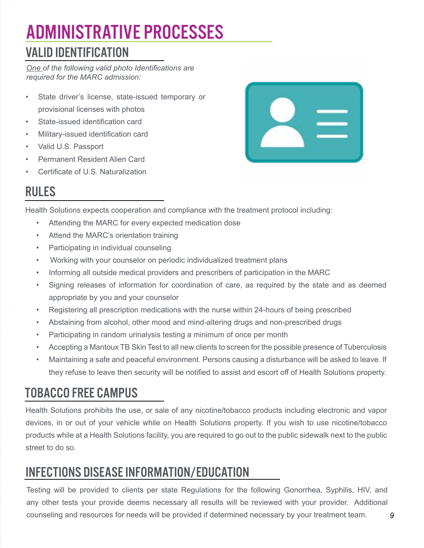# <span id="page-8-0"></span>ADMINISTRATIVE PROCESSES VALID IDENTIFICATION

*One of the following valid photo Identifications are required for the MARC admission:*

- State driver's license, state-issued temporary or provisional licenses with photos
- State-issued identification card
- Military-issued identification card
- Valid U.S. Passport
- Permanent Resident Alien Card
- Certificate of U.S. Naturalization



# RULES

Health Solutions expects cooperation and compliance with the treatment protocol including:

- Attending the MARC for every expected medication dose
- Attend the MARC's orientation training
- Participating in individual counseling
- Working with your counselor on periodic individualized treatment plans
- Informing all outside medical providers and prescribers of participation in the MARC
- Signing releases of information for coordination of care, as required by the state and as deemed appropriate by you and your counselor
- Registering all prescription medications with the nurse within 24-hours of being prescribed
- Abstaining from alcohol, other mood and mind-altering drugs and non-prescribed drugs
- Participating in random urinalysis testing a minimum of once per month
- Accepting a Mantoux TB Skin Test to all new clients to screen for the possible presence of Tuberculosis
- Maintaining a safe and peaceful environment. Persons causing a disturbance will be asked to leave. If they refuse to leave then security will be notified to assist and escort off of Health Solutions property.

# TOBACCO FREE CAMPUS

Health Solutions prohibits the use, or sale of any nicotine/tobacco products including electronic and vapor devices, in or out of your vehicle while on Health Solutions property. If you wish to use nicotine/tobacco products while at a Health Solutions facility, you are required to go out to the public sidewalk next to the public street to do so.

# INFECTIONS DISEASE INFORMATION/EDUCATION

Testing will be provided to clients per state Regulations for the following Gonorrhea, Syphilis, HIV, and any other tests your provide deems necessary all results will be reviewed with your provider. Additional counseling and resources for needs will be provided if determined necessary by your treatment team.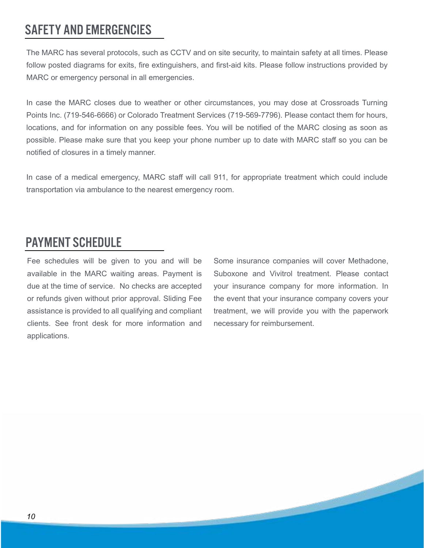#### SAFETY AND EMERGENCIES

The MARC has several protocols, such as CCTV and on site security, to maintain safety at all times. Please follow posted diagrams for exits, fire extinguishers, and first-aid kits. Please follow instructions provided by MARC or emergency personal in all emergencies.

In case the MARC closes due to weather or other circumstances, you may dose at Crossroads Turning Points Inc. (719-546-6666) or Colorado Treatment Services (719-569-7796). Please contact them for hours, locations, and for information on any possible fees. You will be notified of the MARC closing as soon as possible. Please make sure that you keep your phone number up to date with MARC staff so you can be notified of closures in a timely manner.

In case of a medical emergency, MARC staff will call 911, for appropriate treatment which could include transportation via ambulance to the nearest emergency room.

#### PAYMENT SCHEDULE

Fee schedules will be given to you and will be available in the MARC waiting areas. Payment is due at the time of service. No checks are accepted or refunds given without prior approval. Sliding Fee assistance is provided to all qualifying and compliant clients. See front desk for more information and applications.

Some insurance companies will cover Methadone, Suboxone and Vivitrol treatment. Please contact your insurance company for more information. In the event that your insurance company covers your treatment, we will provide you with the paperwork necessary for reimbursement.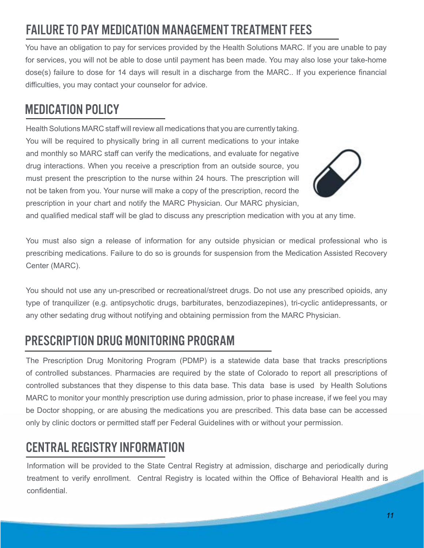#### *11*

# FAILURE TO PAY MEDICATION MANAGEMENT TREATMENT FEES

You have an obligation to pay for services provided by the Health Solutions MARC. If you are unable to pay for services, you will not be able to dose until payment has been made. You may also lose your take-home dose(s) failure to dose for 14 days will result in a discharge from the MARC.. If you experience financial difficulties, you may contact your counselor for advice.

# MEDICATION POLICY

Health Solutions MARC staff will review all medications that you are currently taking. You will be required to physically bring in all current medications to your intake and monthly so MARC staff can verify the medications, and evaluate for negative drug interactions. When you receive a prescription from an outside source, you must present the prescription to the nurse within 24 hours. The prescription will not be taken from you. Your nurse will make a copy of the prescription, record the prescription in your chart and notify the MARC Physician. Our MARC physician,

and qualified medical staff will be glad to discuss any prescription medication with you at any time.

You must also sign a release of information for any outside physician or medical professional who is prescribing medications. Failure to do so is grounds for suspension from the Medication Assisted Recovery Center (MARC).

You should not use any un-prescribed or recreational/street drugs. Do not use any prescribed opioids, any type of tranquilizer (e.g. antipsychotic drugs, barbiturates, benzodiazepines), tri-cyclic antidepressants, or any other sedating drug without notifying and obtaining permission from the MARC Physician.

#### PRESCRIPTION DRUG MONITORING PROGRAM

The Prescription Drug Monitoring Program (PDMP) is a statewide data base that tracks prescriptions of controlled substances. Pharmacies are required by the state of Colorado to report all prescriptions of controlled substances that they dispense to this data base. This data base is used by Health Solutions MARC to monitor your monthly prescription use during admission, prior to phase increase, if we feel you may be Doctor shopping, or are abusing the medications you are prescribed. This data base can be accessed only by clinic doctors or permitted staff per Federal Guidelines with or without your permission.

# CENTRAL REGISTRY INFORMATION

Information will be provided to the State Central Registry at admission, discharge and periodically during treatment to verify enrollment. Central Registry is located within the Office of Behavioral Health and is confidential.

**STATE OF BUILDING** 

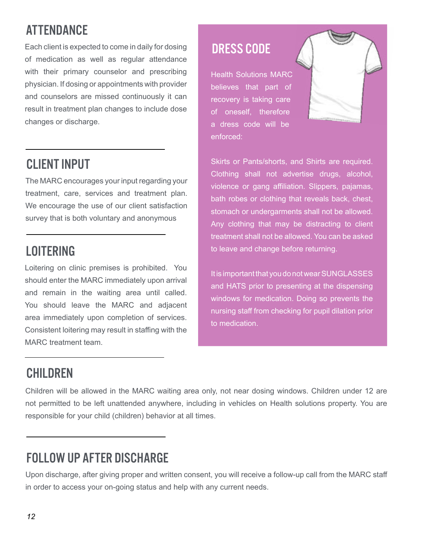# ATTENDANCE

Each client is expected to come in daily for dosing of medication as well as regular attendance with their primary counselor and prescribing physician. If dosing or appointments with provider and counselors are missed continuously it can result in treatment plan changes to include dose changes or discharge.

#### CLIENT INPUT

The MARC encourages your input regarding your treatment, care, services and treatment plan. We encourage the use of our client satisfaction survey that is both voluntary and anonymous

#### LOITERING

Loitering on clinic premises is prohibited. You should enter the MARC immediately upon arrival and remain in the waiting area until called. You should leave the MARC and adjacent area immediately upon completion of services. Consistent loitering may result in staffing with the MARC treatment team.

# DRESS CODE

Health Solutions MARC believes that part of recovery is taking care of oneself, therefore a dress code will be enforced:



Skirts or Pants/shorts, and Shirts are required. Clothing shall not advertise drugs, alcohol, violence or gang affiliation. Slippers, pajamas, bath robes or clothing that reveals back, chest, stomach or undergarments shall not be allowed. Any clothing that may be distracting to client treatment shall not be allowed. You can be asked to leave and change before returning.

It is important that you do not wear SUNGLASSES and HATS prior to presenting at the dispensing windows for medication. Doing so prevents the nursing staff from checking for pupil dilation prior to medication.

# **CHILDREN**

Children will be allowed in the MARC waiting area only, not near dosing windows. Children under 12 are not permitted to be left unattended anywhere, including in vehicles on Health solutions property. You are responsible for your child (children) behavior at all times.

# FOLLOW UP AFTER DISCHARGE

Upon discharge, after giving proper and written consent, you will receive a follow-up call from the MARC staff in order to access your on-going status and help with any current needs.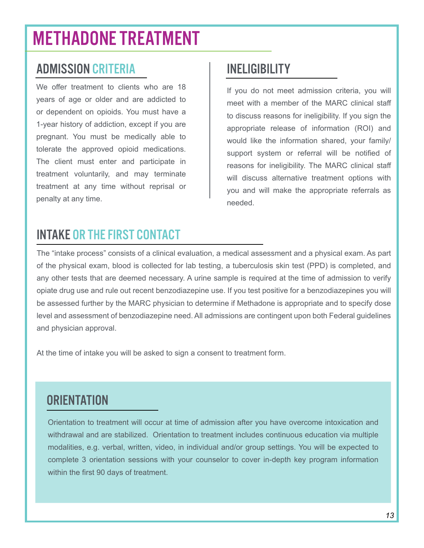# <span id="page-12-0"></span>METHADONE TREATMENT

#### ADMISSION CRITERIA

We offer treatment to clients who are 18 years of age or older and are addicted to or dependent on opioids. You must have a 1-year history of addiction, except if you are pregnant. You must be medically able to tolerate the approved opioid medications. The client must enter and participate in treatment voluntarily, and may terminate treatment at any time without reprisal or penalty at any time.

#### INELIGIBILITY

If you do not meet admission criteria, you will meet with a member of the MARC clinical staff to discuss reasons for ineligibility. If you sign the appropriate release of information (ROI) and would like the information shared, your family/ support system or referral will be notified of reasons for ineligibility. The MARC clinical staff will discuss alternative treatment options with you and will make the appropriate referrals as needed.

#### INTAKE OR THE FIRST CONTACT

The "intake process" consists of a clinical evaluation, a medical assessment and a physical exam. As part of the physical exam, blood is collected for lab testing, a tuberculosis skin test (PPD) is completed, and any other tests that are deemed necessary. A urine sample is required at the time of admission to verify opiate drug use and rule out recent benzodiazepine use. If you test positive for a benzodiazepines you will be assessed further by the MARC physician to determine if Methadone is appropriate and to specify dose level and assessment of benzodiazepine need. All admissions are contingent upon both Federal guidelines and physician approval.

At the time of intake you will be asked to sign a consent to treatment form.

#### **ORIENTATION**

Orientation to treatment will occur at time of admission after you have overcome intoxication and withdrawal and are stabilized. Orientation to treatment includes continuous education via multiple modalities, e.g. verbal, written, video, in individual and/or group settings. You will be expected to complete 3 orientation sessions with your counselor to cover in-depth key program information within the first 90 days of treatment.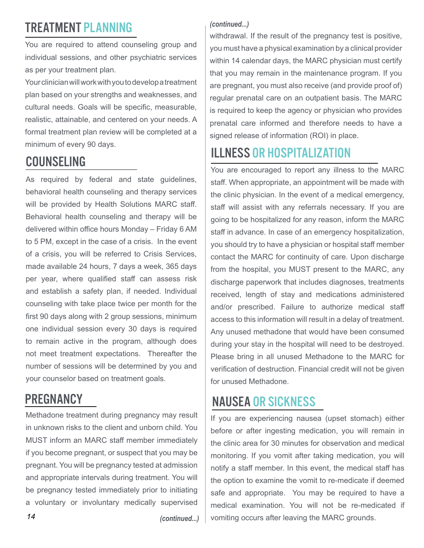# TREATMENT PLANNING

You are required to attend counseling group and individual sessions, and other psychiatric services as per your treatment plan.

Your clinician will work with you to develop a treatment plan based on your strengths and weaknesses, and cultural needs. Goals will be specific, measurable, realistic, attainable, and centered on your needs. A formal treatment plan review will be completed at a minimum of every 90 days.

# COUNSELING

As required by federal and state guidelines, behavioral health counseling and therapy services will be provided by Health Solutions MARC staff. Behavioral health counseling and therapy will be delivered within office hours Monday – Friday 6 AM to 5 PM, except in the case of a crisis. In the event of a crisis, you will be referred to Crisis Services, made available 24 hours, 7 days a week, 365 days per year, where qualified staff can assess risk and establish a safety plan, if needed. Individual counseling with take place twice per month for the first 90 days along with 2 group sessions, minimum one individual session every 30 days is required to remain active in the program, although does not meet treatment expectations. Thereafter the number of sessions will be determined by you and your counselor based on treatment goals.

#### **PREGNANCY**

Methadone treatment during pregnancy may result in unknown risks to the client and unborn child. You MUST inform an MARC staff member immediately if you become pregnant, or suspect that you may be pregnant. You will be pregnancy tested at admission and appropriate intervals during treatment. You will be pregnancy tested immediately prior to initiating a voluntary or involuntary medically supervised

#### *(continued...)*

withdrawal. If the result of the pregnancy test is positive, you must have a physical examination by a clinical provider within 14 calendar days, the MARC physician must certify that you may remain in the maintenance program. If you are pregnant, you must also receive (and provide proof of) regular prenatal care on an outpatient basis. The MARC is required to keep the agency or physician who provides prenatal care informed and therefore needs to have a signed release of information (ROI) in place.

# ILLNESS OR HOSPITALIZATION

You are encouraged to report any illness to the MARC staff. When appropriate, an appointment will be made with the clinic physician. In the event of a medical emergency, staff will assist with any referrals necessary. If you are going to be hospitalized for any reason, inform the MARC staff in advance. In case of an emergency hospitalization, you should try to have a physician or hospital staff member contact the MARC for continuity of care. Upon discharge from the hospital, you MUST present to the MARC, any discharge paperwork that includes diagnoses, treatments received, length of stay and medications administered and/or prescribed. Failure to authorize medical staff access to this information will result in a delay of treatment. Any unused methadone that would have been consumed during your stay in the hospital will need to be destroyed. Please bring in all unused Methadone to the MARC for verification of destruction. Financial credit will not be given for unused Methadone.

# NAUSEA OR SICKNESS

If you are experiencing nausea (upset stomach) either before or after ingesting medication, you will remain in the clinic area for 30 minutes for observation and medical monitoring. If you vomit after taking medication, you will notify a staff member. In this event, the medical staff has the option to examine the vomit to re-medicate if deemed safe and appropriate. You may be required to have a medical examination. You will not be re-medicated if vomiting occurs after leaving the MARC grounds.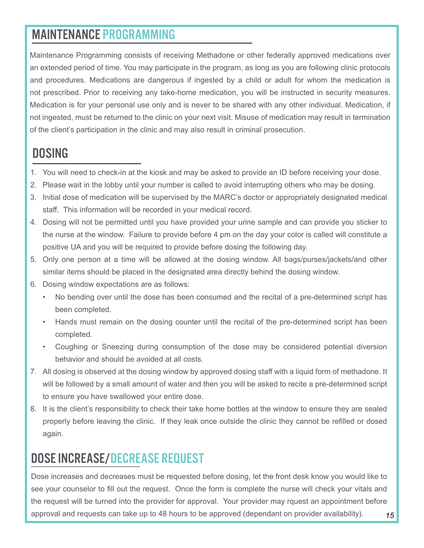#### MAINTENANCE PROGRAMMING

Maintenance Programming consists of receiving Methadone or other federally approved medications over an extended period of time. You may participate in the program, as long as you are following clinic protocols and procedures. Medications are dangerous if ingested by a child or adult for whom the medication is not prescribed. Prior to receiving any take-home medication, you will be instructed in security measures. Medication is for your personal use only and is never to be shared with any other individual. Medication, if not ingested, must be returned to the clinic on your next visit. Misuse of medication may result in termination of the client's participation in the clinic and may also result in criminal prosecution.

#### **DOSING**

- 1. You will need to check-in at the kiosk and may be asked to provide an ID before receiving your dose.
- 2. Please wait in the lobby until your number is called to avoid interrupting others who may be dosing.
- 3. Initial dose of medication will be supervised by the MARC's doctor or appropriately designated medical staff. This information will be recorded in your medical record.
- 4. Dosing will not be permitted until you have provided your urine sample and can provide you sticker to the nurse at the window. Failure to provide before 4 pm on the day your color is called will constitute a positive UA and you will be required to provide before dosing the following day.
- 5. Only one person at a time will be allowed at the dosing window. All bags/purses/jackets/and other similar items should be placed in the designated area directly behind the dosing window.
- 6. Dosing window expectations are as follows:
	- No bending over until the dose has been consumed and the recital of a pre-determined script has been completed.
	- Hands must remain on the dosing counter until the recital of the pre-determined script has been completed.
	- Coughing or Sneezing during consumption of the dose may be considered potential diversion behavior and should be avoided at all costs.
- 7. All dosing is observed at the dosing window by approved dosing staff with a liquid form of methadone. It will be followed by a small amount of water and then you will be asked to recite a pre-determined script to ensure you have swallowed your entire dose.
- 8. It is the client's responsibility to check their take home bottles at the window to ensure they are sealed properly before leaving the clinic. If they leak once outside the clinic they cannot be refilled or dosed again.

# DOSE INCREASE/DECREASE REQUEST

*15* Dose increases and decreases must be requested before dosing, let the front desk know you would like to see your counselor to fill out the request. Once the form is complete the nurse will check your vitals and the request will be turned into the provider for approval. Your provider may rquest an appointment before approval and requests can take up to 48 hours to be approved (dependant on provider availability).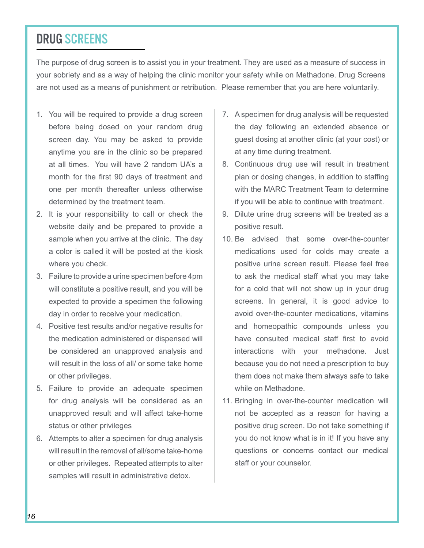#### DRUG SCREENS

The purpose of drug screen is to assist you in your treatment. They are used as a measure of success in your sobriety and as a way of helping the clinic monitor your safety while on Methadone. Drug Screens are not used as a means of punishment or retribution. Please remember that you are here voluntarily.

- 1. You will be required to provide a drug screen before being dosed on your random drug screen day. You may be asked to provide anytime you are in the clinic so be prepared at all times. You will have 2 random UA's a month for the first 90 days of treatment and one per month thereafter unless otherwise determined by the treatment team.
- 2. It is your responsibility to call or check the website daily and be prepared to provide a sample when you arrive at the clinic. The day a color is called it will be posted at the kiosk where you check.
- 3. Failure to provide a urine specimen before 4pm will constitute a positive result, and you will be expected to provide a specimen the following day in order to receive your medication.
- 4. Positive test results and/or negative results for the medication administered or dispensed will be considered an unapproved analysis and will result in the loss of all/ or some take home or other privileges.
- 5. Failure to provide an adequate specimen for drug analysis will be considered as an unapproved result and will affect take-home status or other privileges
- 6. Attempts to alter a specimen for drug analysis will result in the removal of all/some take-home or other privileges. Repeated attempts to alter samples will result in administrative detox.
- 7. A specimen for drug analysis will be requested the day following an extended absence or guest dosing at another clinic (at your cost) or at any time during treatment.
- 8. Continuous drug use will result in treatment plan or dosing changes, in addition to staffing with the MARC Treatment Team to determine if you will be able to continue with treatment.
- 9. Dilute urine drug screens will be treated as a positive result.
- 10. Be advised that some over-the-counter medications used for colds may create a positive urine screen result. Please feel free to ask the medical staff what you may take for a cold that will not show up in your drug screens. In general, it is good advice to avoid over-the-counter medications, vitamins and homeopathic compounds unless you have consulted medical staff first to avoid interactions with your methadone. Just because you do not need a prescription to buy them does not make them always safe to take while on Methadone.
- 11. Bringing in over-the-counter medication will not be accepted as a reason for having a positive drug screen. Do not take something if you do not know what is in it! If you have any questions or concerns contact our medical staff or your counselor.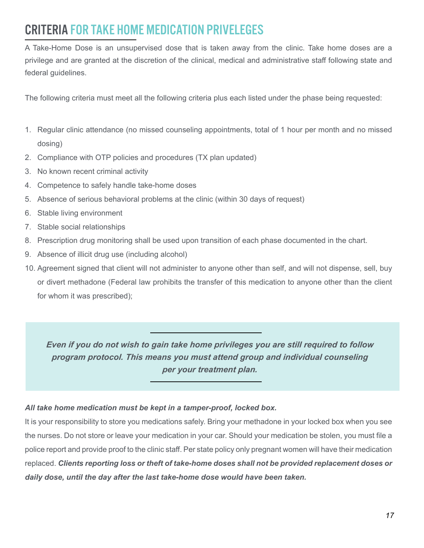# CRITERIA FOR TAKE HOME MEDICATION PRIVELEGES

A Take-Home Dose is an unsupervised dose that is taken away from the clinic. Take home doses are a privilege and are granted at the discretion of the clinical, medical and administrative staff following state and federal guidelines.

The following criteria must meet all the following criteria plus each listed under the phase being requested:

- 1. Regular clinic attendance (no missed counseling appointments, total of 1 hour per month and no missed dosing)
- 2. Compliance with OTP policies and procedures (TX plan updated)
- 3. No known recent criminal activity
- 4. Competence to safely handle take-home doses
- 5. Absence of serious behavioral problems at the clinic (within 30 days of request)
- 6. Stable living environment
- 7. Stable social relationships
- 8. Prescription drug monitoring shall be used upon transition of each phase documented in the chart.
- 9. Absence of illicit drug use (including alcohol)
- 10. Agreement signed that client will not administer to anyone other than self, and will not dispense, sell, buy or divert methadone (Federal law prohibits the transfer of this medication to anyone other than the client for whom it was prescribed);

*Even if you do not wish to gain take home privileges you are still required to follow program protocol. This means you must attend group and individual counseling per your treatment plan.*

#### *All take home medication must be kept in a tamper-proof, locked box.*

It is your responsibility to store you medications safely. Bring your methadone in your locked box when you see the nurses. Do not store or leave your medication in your car. Should your medication be stolen, you must file a police report and provide proof to the clinic staff. Per state policy only pregnant women will have their medication replaced. *Clients reporting loss or theft of take-home doses shall not be provided replacement doses or daily dose, until the day after the last take-home dose would have been taken.*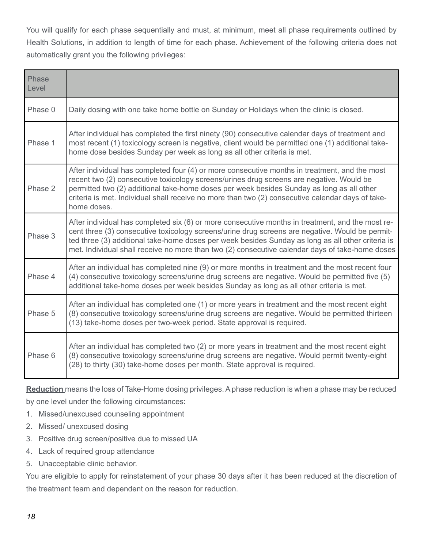You will qualify for each phase sequentially and must, at minimum, meet all phase requirements outlined by Health Solutions, in addition to length of time for each phase. Achievement of the following criteria does not automatically grant you the following privileges:

| Phase<br>Level |                                                                                                                                                                                                                                                                                                                                                                                                             |
|----------------|-------------------------------------------------------------------------------------------------------------------------------------------------------------------------------------------------------------------------------------------------------------------------------------------------------------------------------------------------------------------------------------------------------------|
| Phase 0        | Daily dosing with one take home bottle on Sunday or Holidays when the clinic is closed.                                                                                                                                                                                                                                                                                                                     |
| Phase 1        | After individual has completed the first ninety (90) consecutive calendar days of treatment and<br>most recent (1) toxicology screen is negative, client would be permitted one (1) additional take-<br>home dose besides Sunday per week as long as all other criteria is met.                                                                                                                             |
| Phase 2        | After individual has completed four (4) or more consecutive months in treatment, and the most<br>recent two (2) consecutive toxicology screens/urines drug screens are negative. Would be<br>permitted two (2) additional take-home doses per week besides Sunday as long as all other<br>criteria is met. Individual shall receive no more than two (2) consecutive calendar days of take-<br>home doses.  |
| Phase 3        | After individual has completed six (6) or more consecutive months in treatment, and the most re-<br>cent three (3) consecutive toxicology screens/urine drug screens are negative. Would be permit-<br>ted three (3) additional take-home doses per week besides Sunday as long as all other criteria is<br>met. Individual shall receive no more than two (2) consecutive calendar days of take-home doses |
| Phase 4        | After an individual has completed nine (9) or more months in treatment and the most recent four<br>(4) consecutive toxicology screens/urine drug screens are negative. Would be permitted five (5)<br>additional take-home doses per week besides Sunday as long as all other criteria is met.                                                                                                              |
| Phase 5        | After an individual has completed one (1) or more years in treatment and the most recent eight<br>(8) consecutive toxicology screens/urine drug screens are negative. Would be permitted thirteen<br>(13) take-home doses per two-week period. State approval is required.                                                                                                                                  |
| Phase 6        | After an individual has completed two (2) or more years in treatment and the most recent eight<br>(8) consecutive toxicology screens/urine drug screens are negative. Would permit twenty-eight<br>(28) to thirty (30) take-home doses per month. State approval is required.                                                                                                                               |

**Reduction** means the loss of Take-Home dosing privileges. A phase reduction is when a phase may be reduced by one level under the following circumstances:

- 1. Missed/unexcused counseling appointment
- 2. Missed/ unexcused dosing
- 3. Positive drug screen/positive due to missed UA
- 4. Lack of required group attendance
- 5. Unacceptable clinic behavior.

You are eligible to apply for reinstatement of your phase 30 days after it has been reduced at the discretion of the treatment team and dependent on the reason for reduction.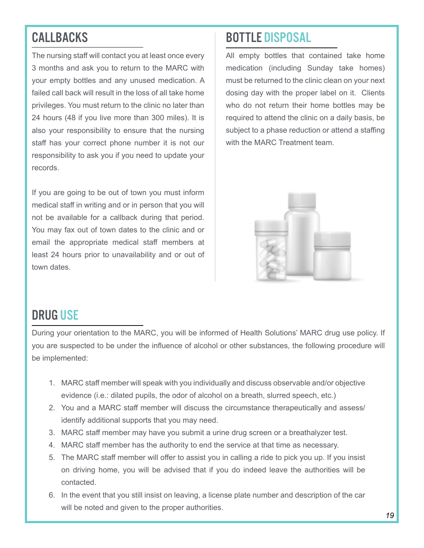# **CALLBACKS**

The nursing staff will contact you at least once every 3 months and ask you to return to the MARC with your empty bottles and any unused medication. A failed call back will result in the loss of all take home privileges. You must return to the clinic no later than 24 hours (48 if you live more than 300 miles). It is also your responsibility to ensure that the nursing staff has your correct phone number it is not our responsibility to ask you if you need to update your records.

If you are going to be out of town you must inform medical staff in writing and or in person that you will not be available for a callback during that period. You may fax out of town dates to the clinic and or email the appropriate medical staff members at least 24 hours prior to unavailability and or out of town dates.

#### BOTTLE DISPOSAL

All empty bottles that contained take home medication (including Sunday take homes) must be returned to the clinic clean on your next dosing day with the proper label on it. Clients who do not return their home bottles may be required to attend the clinic on a daily basis, be subject to a phase reduction or attend a staffing with the MARC Treatment team.



#### DRUG USE

During your orientation to the MARC, you will be informed of Health Solutions' MARC drug use policy. If you are suspected to be under the influence of alcohol or other substances, the following procedure will be implemented:

- 1. MARC staff member will speak with you individually and discuss observable and/or objective evidence (i.e.: dilated pupils, the odor of alcohol on a breath, slurred speech, etc.)
- 2. You and a MARC staff member will discuss the circumstance therapeutically and assess/ identify additional supports that you may need.
- 3. MARC staff member may have you submit a urine drug screen or a breathalyzer test.
- 4. MARC staff member has the authority to end the service at that time as necessary.
- 5. The MARC staff member will offer to assist you in calling a ride to pick you up. If you insist on driving home, you will be advised that if you do indeed leave the authorities will be contacted.
- 6. In the event that you still insist on leaving, a license plate number and description of the car will be noted and given to the proper authorities.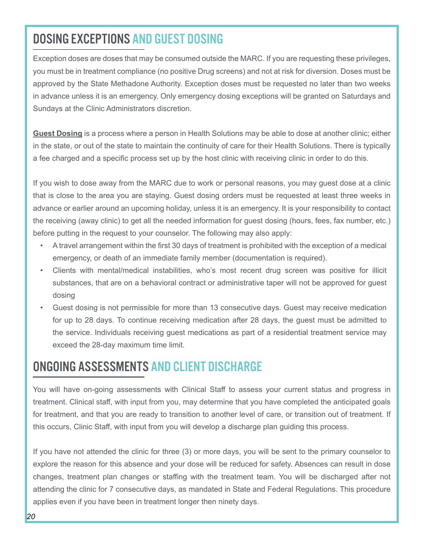#### DOSING EXCEPTIONS AND GUEST DOSING

Exception doses are doses that may be consumed outside the MARC. If you are requesting these privileges, you must be in treatment compliance (no positive Drug screens) and not at risk for diversion. Doses must be approved by the State Methadone Authority. Exception doses must be requested no later than two weeks in advance unless it is an emergency. Only emergency dosing exceptions will be granted on Saturdays and Sundays at the Clinic Administrators discretion.

**Guest Dosing** is a process where a person in Health Solutions may be able to dose at another clinic; either in the state, or out of the state to maintain the continuity of care for their Health Solutions. There is typically a fee charged and a specific process set up by the host clinic with receiving clinic in order to do this.

If you wish to dose away from the MARC due to work or personal reasons, you may guest dose at a clinic that is close to the area you are staying. Guest dosing orders must be requested at least three weeks in advance or earlier around an upcoming holiday, unless it is an emergency. It is your responsibility to contact the receiving (away clinic) to get all the needed information for guest dosing (hours, fees, fax number, etc.) before putting in the request to your counselor. The following may also apply:

- A travel arrangement within the first 30 days of treatment is prohibited with the exception of a medical emergency, or death of an immediate family member (documentation is required).
- Clients with mental/medical instabilities, who's most recent drug screen was positive for illicit substances, that are on a behavioral contract or administrative taper will not be approved for guest dosing
- Guest dosing is not permissible for more than 13 consecutive days. Guest may receive medication for up to 28 days. To continue receiving medication after 28 days, the guest must be admitted to the service. Individuals receiving guest medications as part of a residential treatment service may exceed the 28-day maximum time limit.

#### ONGOING ASSESSMENTS AND CLIENT DISCHARGE

You will have on-going assessments with Clinical Staff to assess your current status and progress in treatment. Clinical staff, with input from you, may determine that you have completed the anticipated goals for treatment, and that you are ready to transition to another level of care, or transition out of treatment. If this occurs, Clinic Staff, with input from you will develop a discharge plan guiding this process.

If you have not attended the clinic for three (3) or more days, you will be sent to the primary counselor to explore the reason for this absence and your dose will be reduced for safety. Absences can result in dose changes, treatment plan changes or staffing with the treatment team. You will be discharged after not attending the clinic for 7 consecutive days, as mandated in State and Federal Regulations. This procedure applies even if you have been in treatment longer then ninety days.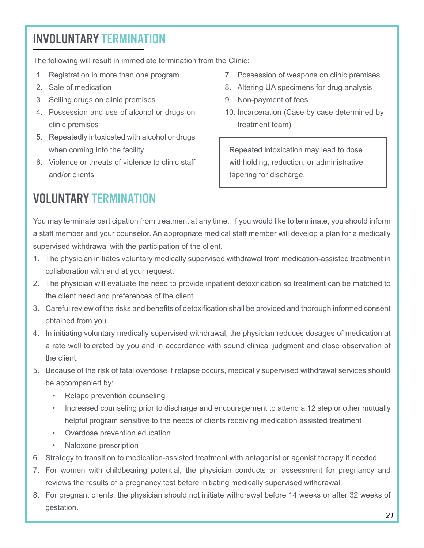# INVOLUNTARY TERMINATION

The following will result in immediate termination from the Clinic:

- 1. Registration in more than one program
- 2. Sale of medication
- 3. Selling drugs on clinic premises
- 4. Possession and use of alcohol or drugs on clinic premises
- 5. Repeatedly intoxicated with alcohol or drugs when coming into the facility
- 6. Violence or threats of violence to clinic staff and/or clients
- 7. Possession of weapons on clinic premises
- 8. Altering UA specimens for drug analysis
- 9. Non-payment of fees
- 10. Incarceration (Case by case determined by treatment team)

Repeated intoxication may lead to dose withholding, reduction, or administrative tapering for discharge.

# VOLUNTARY TERMINATION

You may terminate participation from treatment at any time. If you would like to terminate, you should inform a staff member and your counselor. An appropriate medical staff member will develop a plan for a medically supervised withdrawal with the participation of the client.

- 1. The physician initiates voluntary medically supervised withdrawal from medication-assisted treatment in collaboration with and at your request.
- 2. The physician will evaluate the need to provide inpatient detoxification so treatment can be matched to the client need and preferences of the client.
- 3. Careful review of the risks and benefits of detoxification shall be provided and thorough informed consent obtained from you.
- 4. In initiating voluntary medically supervised withdrawal, the physician reduces dosages of medication at a rate well tolerated by you and in accordance with sound clinical judgment and close observation of the client.
- 5. Because of the risk of fatal overdose if relapse occurs, medically supervised withdrawal services should be accompanied by:
	- Relape prevention counseling
	- Increased counseling prior to discharge and encouragement to attend a 12 step or other mutually helpful program sensitive to the needs of clients receiving medication assisted treatment
	- Overdose prevention education
	- Naloxone prescription
- 6. Strategy to transition to medication-assisted treatment with antagonist or agonist therapy if needed
- 7. For women with childbearing potential, the physician conducts an assessment for pregnancy and reviews the results of a pregnancy test before initiating medically supervised withdrawal.
- 8. For pregnant clients, the physician should not initiate withdrawal before 14 weeks or after 32 weeks of gestation.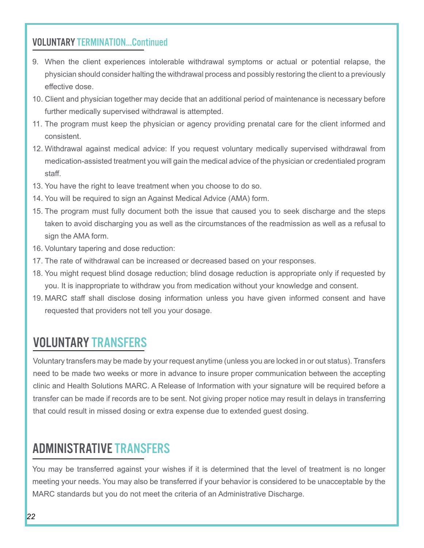#### VOLUNTARY TERMINATION...Continued

- 9. When the client experiences intolerable withdrawal symptoms or actual or potential relapse, the physician should consider halting the withdrawal process and possibly restoring the client to a previously effective dose.
- 10. Client and physician together may decide that an additional period of maintenance is necessary before further medically supervised withdrawal is attempted.
- 11. The program must keep the physician or agency providing prenatal care for the client informed and consistent.
- 12. Withdrawal against medical advice: If you request voluntary medically supervised withdrawal from medication-assisted treatment you will gain the medical advice of the physician or credentialed program staff.
- 13. You have the right to leave treatment when you choose to do so.
- 14. You will be required to sign an Against Medical Advice (AMA) form.
- 15. The program must fully document both the issue that caused you to seek discharge and the steps taken to avoid discharging you as well as the circumstances of the readmission as well as a refusal to sign the AMA form.
- 16. Voluntary tapering and dose reduction:
- 17. The rate of withdrawal can be increased or decreased based on your responses.
- 18. You might request blind dosage reduction; blind dosage reduction is appropriate only if requested by you. It is inappropriate to withdraw you from medication without your knowledge and consent.
- 19. MARC staff shall disclose dosing information unless you have given informed consent and have requested that providers not tell you your dosage.

#### VOLUNTARY TRANSFERS

Voluntary transfers may be made by your request anytime (unless you are locked in or out status). Transfers need to be made two weeks or more in advance to insure proper communication between the accepting clinic and Health Solutions MARC. A Release of Information with your signature will be required before a transfer can be made if records are to be sent. Not giving proper notice may result in delays in transferring that could result in missed dosing or extra expense due to extended guest dosing.

#### ADMINISTRATIVE TRANSFERS

You may be transferred against your wishes if it is determined that the level of treatment is no longer meeting your needs. You may also be transferred if your behavior is considered to be unacceptable by the MARC standards but you do not meet the criteria of an Administrative Discharge.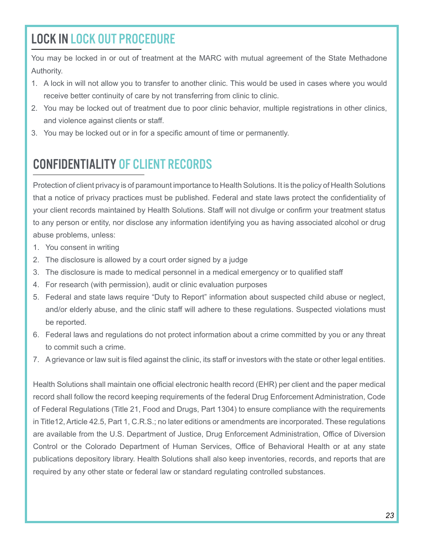# LOCK IN LOCK OUT PROCEDURE

You may be locked in or out of treatment at the MARC with mutual agreement of the State Methadone Authority.

- 1. A lock in will not allow you to transfer to another clinic. This would be used in cases where you would receive better continuity of care by not transferring from clinic to clinic.
- 2. You may be locked out of treatment due to poor clinic behavior, multiple registrations in other clinics, and violence against clients or staff.
- 3. You may be locked out or in for a specific amount of time or permanently.

# CONFIDENTIALITY OF CLIENT RECORDS

Protection of client privacy is of paramount importance to Health Solutions. It is the policy of Health Solutions that a notice of privacy practices must be published. Federal and state laws protect the confidentiality of your client records maintained by Health Solutions. Staff will not divulge or confirm your treatment status to any person or entity, nor disclose any information identifying you as having associated alcohol or drug abuse problems, unless:

- 1. You consent in writing
- 2. The disclosure is allowed by a court order signed by a judge
- 3. The disclosure is made to medical personnel in a medical emergency or to qualified staff
- 4. For research (with permission), audit or clinic evaluation purposes
- 5. Federal and state laws require "Duty to Report" information about suspected child abuse or neglect, and/or elderly abuse, and the clinic staff will adhere to these regulations. Suspected violations must be reported.
- 6. Federal laws and regulations do not protect information about a crime committed by you or any threat to commit such a crime.
- 7. A grievance or law suit is filed against the clinic, its staff or investors with the state or other legal entities.

Health Solutions shall maintain one official electronic health record (EHR) per client and the paper medical record shall follow the record keeping requirements of the federal Drug Enforcement Administration, Code of Federal Regulations (Title 21, Food and Drugs, Part 1304) to ensure compliance with the requirements in Title12, Article 42.5, Part 1, C.R.S.; no later editions or amendments are incorporated. These regulations are available from the U.S. Department of Justice, Drug Enforcement Administration, Office of Diversion Control or the Colorado Department of Human Services, Office of Behavioral Health or at any state publications depository library. Health Solutions shall also keep inventories, records, and reports that are required by any other state or federal law or standard regulating controlled substances.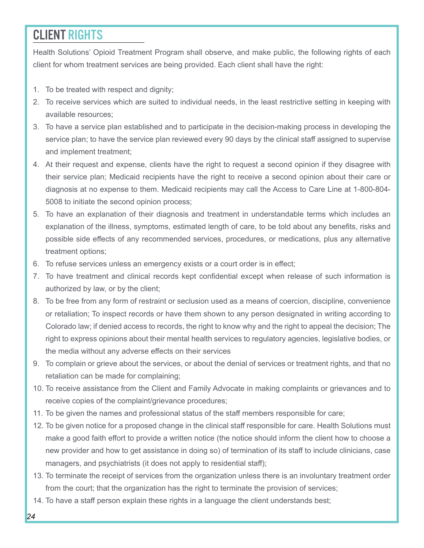#### CLIENT RIGHTS

Health Solutions' Opioid Treatment Program shall observe, and make public, the following rights of each client for whom treatment services are being provided. Each client shall have the right:

- 1. To be treated with respect and dignity;
- 2. To receive services which are suited to individual needs, in the least restrictive setting in keeping with available resources;
- 3. To have a service plan established and to participate in the decision-making process in developing the service plan; to have the service plan reviewed every 90 days by the clinical staff assigned to supervise and implement treatment;
- 4. At their request and expense, clients have the right to request a second opinion if they disagree with their service plan; Medicaid recipients have the right to receive a second opinion about their care or diagnosis at no expense to them. Medicaid recipients may call the Access to Care Line at 1-800-804- 5008 to initiate the second opinion process;
- 5. To have an explanation of their diagnosis and treatment in understandable terms which includes an explanation of the illness, symptoms, estimated length of care, to be told about any benefits, risks and possible side effects of any recommended services, procedures, or medications, plus any alternative treatment options;
- 6. To refuse services unless an emergency exists or a court order is in effect;
- 7. To have treatment and clinical records kept confidential except when release of such information is authorized by law, or by the client;
- 8. To be free from any form of restraint or seclusion used as a means of coercion, discipline, convenience or retaliation; To inspect records or have them shown to any person designated in writing according to Colorado law; if denied access to records, the right to know why and the right to appeal the decision; The right to express opinions about their mental health services to regulatory agencies, legislative bodies, or the media without any adverse effects on their services
- 9. To complain or grieve about the services, or about the denial of services or treatment rights, and that no retaliation can be made for complaining;
- 10. To receive assistance from the Client and Family Advocate in making complaints or grievances and to receive copies of the complaint/grievance procedures;
- 11. To be given the names and professional status of the staff members responsible for care;
- 12. To be given notice for a proposed change in the clinical staff responsible for care. Health Solutions must make a good faith effort to provide a written notice (the notice should inform the client how to choose a new provider and how to get assistance in doing so) of termination of its staff to include clinicians, case managers, and psychiatrists (it does not apply to residential staff);
- 13. To terminate the receipt of services from the organization unless there is an involuntary treatment order from the court; that the organization has the right to terminate the provision of services;
- 14. To have a staff person explain these rights in a language the client understands best;
- *24*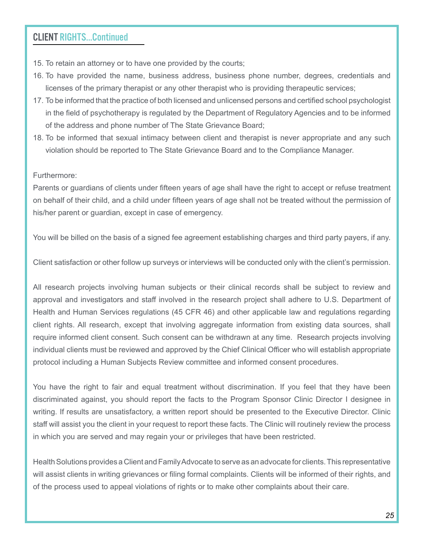#### CLIENT RIGHTS...Continued

- 15. To retain an attorney or to have one provided by the courts;
- 16. To have provided the name, business address, business phone number, degrees, credentials and licenses of the primary therapist or any other therapist who is providing therapeutic services;
- 17. To be informed that the practice of both licensed and unlicensed persons and certified school psychologist in the field of psychotherapy is regulated by the Department of Regulatory Agencies and to be informed of the address and phone number of The State Grievance Board;
- 18. To be informed that sexual intimacy between client and therapist is never appropriate and any such violation should be reported to The State Grievance Board and to the Compliance Manager.

Furthermore:

Parents or guardians of clients under fifteen years of age shall have the right to accept or refuse treatment on behalf of their child, and a child under fifteen years of age shall not be treated without the permission of his/her parent or guardian, except in case of emergency.

You will be billed on the basis of a signed fee agreement establishing charges and third party payers, if any.

Client satisfaction or other follow up surveys or interviews will be conducted only with the client's permission.

All research projects involving human subjects or their clinical records shall be subject to review and approval and investigators and staff involved in the research project shall adhere to U.S. Department of Health and Human Services regulations (45 CFR 46) and other applicable law and regulations regarding client rights. All research, except that involving aggregate information from existing data sources, shall require informed client consent. Such consent can be withdrawn at any time. Research projects involving individual clients must be reviewed and approved by the Chief Clinical Officer who will establish appropriate protocol including a Human Subjects Review committee and informed consent procedures.

You have the right to fair and equal treatment without discrimination. If you feel that they have been discriminated against, you should report the facts to the Program Sponsor Clinic Director I designee in writing. If results are unsatisfactory, a written report should be presented to the Executive Director. Clinic staff will assist you the client in your request to report these facts. The Clinic will routinely review the process in which you are served and may regain your or privileges that have been restricted.

Health Solutions provides a Client and Family Advocate to serve as an advocate for clients. This representative will assist clients in writing grievances or filing formal complaints. Clients will be informed of their rights, and of the process used to appeal violations of rights or to make other complaints about their care.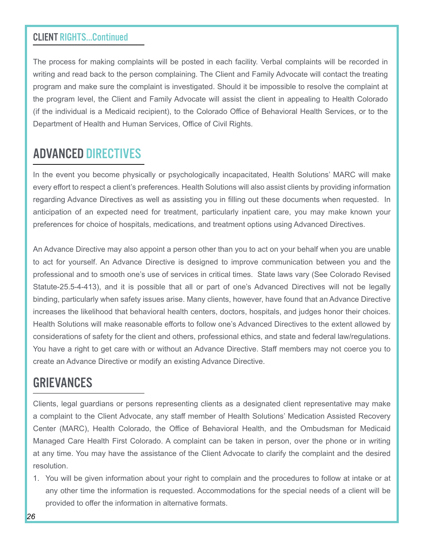#### CLIENT RIGHTS...Continued

The process for making complaints will be posted in each facility. Verbal complaints will be recorded in writing and read back to the person complaining. The Client and Family Advocate will contact the treating program and make sure the complaint is investigated. Should it be impossible to resolve the complaint at the program level, the Client and Family Advocate will assist the client in appealing to Health Colorado (if the individual is a Medicaid recipient), to the Colorado Office of Behavioral Health Services, or to the Department of Health and Human Services, Office of Civil Rights.

#### ADVANCED DIRECTIVES

In the event you become physically or psychologically incapacitated, Health Solutions' MARC will make every effort to respect a client's preferences. Health Solutions will also assist clients by providing information regarding Advance Directives as well as assisting you in filling out these documents when requested. In anticipation of an expected need for treatment, particularly inpatient care, you may make known your preferences for choice of hospitals, medications, and treatment options using Advanced Directives.

An Advance Directive may also appoint a person other than you to act on your behalf when you are unable to act for yourself. An Advance Directive is designed to improve communication between you and the professional and to smooth one's use of services in critical times. State laws vary (See Colorado Revised Statute-25.5-4-413), and it is possible that all or part of one's Advanced Directives will not be legally binding, particularly when safety issues arise. Many clients, however, have found that an Advance Directive increases the likelihood that behavioral health centers, doctors, hospitals, and judges honor their choices. Health Solutions will make reasonable efforts to follow one's Advanced Directives to the extent allowed by considerations of safety for the client and others, professional ethics, and state and federal law/regulations. You have a right to get care with or without an Advance Directive. Staff members may not coerce you to create an Advance Directive or modify an existing Advance Directive.

#### GRIEVANCES

Clients, legal guardians or persons representing clients as a designated client representative may make a complaint to the Client Advocate, any staff member of Health Solutions' Medication Assisted Recovery Center (MARC), Health Colorado, the Office of Behavioral Health, and the Ombudsman for Medicaid Managed Care Health First Colorado. A complaint can be taken in person, over the phone or in writing at any time. You may have the assistance of the Client Advocate to clarify the complaint and the desired resolution.

1. You will be given information about your right to complain and the procedures to follow at intake or at any other time the information is requested. Accommodations for the special needs of a client will be provided to offer the information in alternative formats.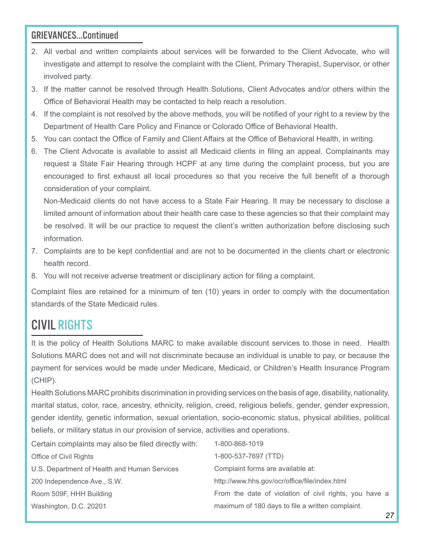#### GRIEVANCES...Continued

- 2. All verbal and written complaints about services will be forwarded to the Client Advocate, who will investigate and attempt to resolve the complaint with the Client, Primary Therapist, Supervisor, or other involved party.
- 3. If the matter cannot be resolved through Health Solutions, Client Advocates and/or others within the Office of Behavioral Health may be contacted to help reach a resolution.
- 4. If the complaint is not resolved by the above methods, you will be notified of your right to a review by the Department of Health Care Policy and Finance or Colorado Office of Behavioral Health.
- 5. You can contact the Office of Family and Client Affairs at the Office of Behavioral Health, in writing.
- 6. The Client Advocate is available to assist all Medicaid clients in filing an appeal. Complainants may request a State Fair Hearing through HCPF at any time during the complaint process, but you are encouraged to first exhaust all local procedures so that you receive the full benefit of a thorough consideration of your complaint.

Non-Medicaid clients do not have access to a State Fair Hearing. It may be necessary to disclose a limited amount of information about their health care case to these agencies so that their complaint may be resolved. It will be our practice to request the client's written authorization before disclosing such information.

- 7. Complaints are to be kept confidential and are not to be documented in the clients chart or electronic health record.
- 8. You will not receive adverse treatment or disciplinary action for filing a complaint.

Complaint files are retained for a minimum of ten (10) years in order to comply with the documentation standards of the State Medicaid rules.

#### CIVIL RIGHTS

It is the policy of Health Solutions MARC to make available discount services to those in need. Health Solutions MARC does not and will not discriminate because an individual is unable to pay, or because the payment for services would be made under Medicare, Medicaid, or Children's Health Insurance Program (CHIP).

Health Solutions MARC prohibits discrimination in providing services on the basis of age, disability, nationality, marital status, color, race, ancestry, ethnicity, religion, creed, religious beliefs, gender, gender expression, gender identity, genetic information, sexual orientation, socio-economic status, physical abilities, political beliefs, or military status in our provision of service, activities and operations.

| Certain complaints may also be filed directly with: | 1-800-868-1019                                         |
|-----------------------------------------------------|--------------------------------------------------------|
| Office of Civil Rights                              | 1-800-537-7697 (TTD)                                   |
| U.S. Department of Health and Human Services        | Complaint forms are available at:                      |
| 200 Independence Ave., S.W.                         | http://www.hhs.gov/ocr/office/file/index.html          |
| Room 509F, HHH Building                             | From the date of violation of civil rights, you have a |
| Washington, D.C. 20201                              | maximum of 180 days to file a written complaint.       |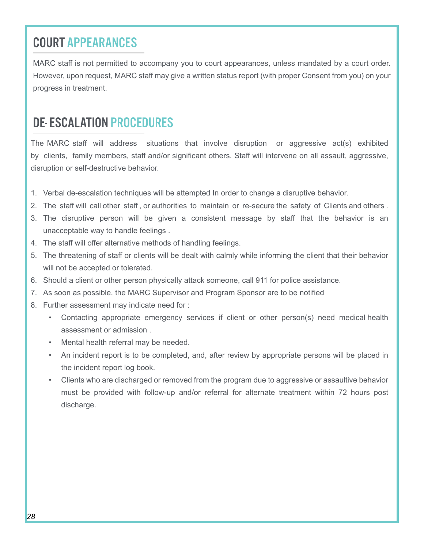# COURT APPEARANCES

MARC staff is not permitted to accompany you to court appearances, unless mandated by a court order. However, upon request, MARC staff may give a written status report (with proper Consent from you) on your progress in treatment.

# DE- ESCALATION PROCEDURES

The MARC staff will address situations that involve disruption or aggressive act(s) exhibited by clients, family members, staff and/or significant others. Staff will intervene on all assault, aggressive, disruption or self-destructive behavior.

- 1. Verbal de-escalation techniques will be attempted In order to change a disruptive behavior.
- 2. The staff will call other staff , or authorities to maintain or re-secure the safety of Clients and others .
- 3. The disruptive person will be given a consistent message by staff that the behavior is an unacceptable way to handle feelings .
- 4. The staff will offer alternative methods of handling feelings.
- 5. The threatening of staff or clients will be dealt with calmly while informing the client that their behavior will not be accepted or tolerated.
- 6. Should a client or other person physically attack someone, call 911 for police assistance.
- 7. As soon as possible, the MARC Supervisor and Program Sponsor are to be notified
- 8. Further assessment may indicate need for :
	- Contacting appropriate emergency services if client or other person(s) need medical health assessment or admission .
	- Mental health referral may be needed.
	- An incident report is to be completed, and, after review by appropriate persons will be placed in the incident report log book.
	- Clients who are discharged or removed from the program due to aggressive or assaultive behavior must be provided with follow-up and/or referral for alternate treatment within 72 hours post discharge.